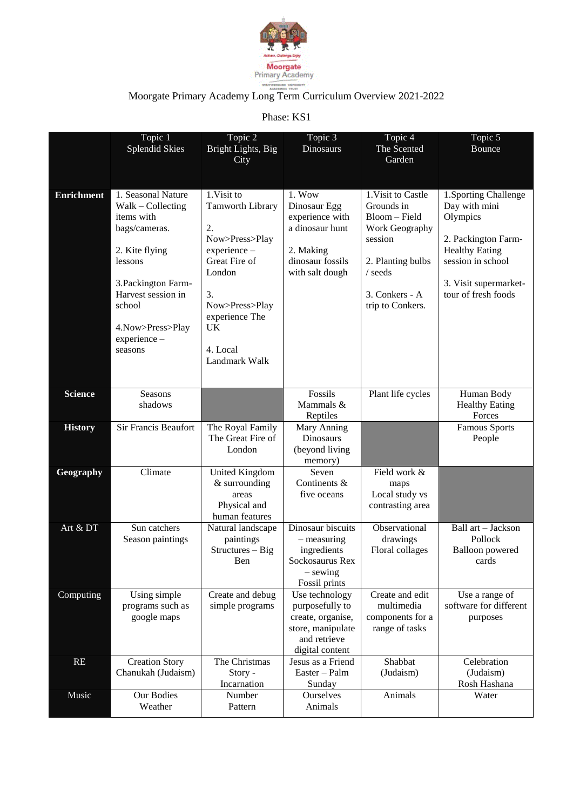

## Moorgate Primary Academy Long Term Curriculum Overview 2021-2022

Phase: KS1

|                   | Topic 1<br><b>Splendid Skies</b>                                                                                                                                                                             | Topic 2<br>Bright Lights, Big<br>City                                                                                                                                                  | Topic 3<br>Dinosaurs                                                                                             | Topic 4<br>The Scented<br>Garden                                                                                                                     | Topic 5<br><b>Bounce</b>                                                                                                                                                |
|-------------------|--------------------------------------------------------------------------------------------------------------------------------------------------------------------------------------------------------------|----------------------------------------------------------------------------------------------------------------------------------------------------------------------------------------|------------------------------------------------------------------------------------------------------------------|------------------------------------------------------------------------------------------------------------------------------------------------------|-------------------------------------------------------------------------------------------------------------------------------------------------------------------------|
| <b>Enrichment</b> | 1. Seasonal Nature<br>$Walk - Collecting$<br>items with<br>bags/cameras.<br>2. Kite flying<br>lessons<br>3. Packington Farm-<br>Harvest session in<br>school<br>4. Now>Press>Play<br>experience -<br>seasons | 1. Visit to<br><b>Tamworth Library</b><br>2.<br>Now>Press>Play<br>experience -<br>Great Fire of<br>London<br>3.<br>Now>Press>Play<br>experience The<br>UK<br>4. Local<br>Landmark Walk | 1. Wow<br>Dinosaur Egg<br>experience with<br>a dinosaur hunt<br>2. Making<br>dinosaur fossils<br>with salt dough | 1. Visit to Castle<br>Grounds in<br>Bloom - Field<br>Work Geography<br>session<br>2. Planting bulbs<br>/ seeds<br>3. Conkers - A<br>trip to Conkers. | 1. Sporting Challenge<br>Day with mini<br>Olympics<br>2. Packington Farm-<br><b>Healthy Eating</b><br>session in school<br>3. Visit supermarket-<br>tour of fresh foods |
| <b>Science</b>    | Seasons<br>shadows                                                                                                                                                                                           |                                                                                                                                                                                        | Fossils<br>Mammals &<br>Reptiles                                                                                 | Plant life cycles                                                                                                                                    | Human Body<br><b>Healthy Eating</b><br>Forces                                                                                                                           |
| <b>History</b>    | Sir Francis Beaufort                                                                                                                                                                                         | The Royal Family<br>The Great Fire of<br>London                                                                                                                                        | Mary Anning<br>Dinosaurs<br>(beyond living<br>memory)                                                            |                                                                                                                                                      | <b>Famous Sports</b><br>People                                                                                                                                          |
| Geography         | Climate                                                                                                                                                                                                      | United Kingdom<br>& surrounding<br>areas<br>Physical and<br>human features                                                                                                             | Seven<br>Continents &<br>five oceans                                                                             | Field work &<br>maps<br>Local study vs<br>contrasting area                                                                                           |                                                                                                                                                                         |
| Art & DT          | Sun catchers<br>Season paintings                                                                                                                                                                             | Natural landscape<br>paintings<br>$Structures - Big$<br>Ben                                                                                                                            | Dinosaur biscuits<br>$-$ measuring<br>ingredients<br>Sockosaurus Rex<br>$-$ sewing<br>Fossil prints              | Observational<br>drawings<br>Floral collages                                                                                                         | Ball art - Jackson<br>Pollock<br><b>Balloon</b> powered<br>cards                                                                                                        |
| Computing         | Using simple<br>programs such as<br>google maps                                                                                                                                                              | Create and debug<br>simple programs                                                                                                                                                    | Use technology<br>purposefully to<br>create, organise,<br>store, manipulate                                      | Create and edit<br>multimedia<br>components for a<br>range of tasks                                                                                  | Use a range of<br>software for different<br>purposes                                                                                                                    |
|                   |                                                                                                                                                                                                              |                                                                                                                                                                                        | and retrieve<br>digital content                                                                                  |                                                                                                                                                      |                                                                                                                                                                         |
| RE                | <b>Creation Story</b><br>Chanukah (Judaism)                                                                                                                                                                  | The Christmas<br>Story -<br>Incarnation                                                                                                                                                | Jesus as a Friend<br>Easter - Palm<br>Sunday                                                                     | Shabbat<br>(Judaism)                                                                                                                                 | Celebration<br>(Judaism)<br>Rosh Hashana                                                                                                                                |